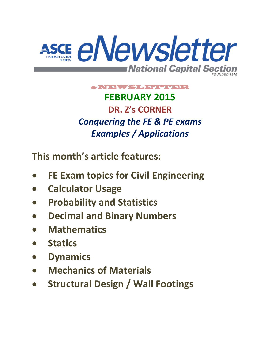

# e NTEWSLETTER **FEBRUARY 2015 DR. Z's CORNER** *Conquering the FE & PE exams Examples / Applications*

**This month's article features:**

- **FE Exam topics for Civil Engineering**
- **Calculator Usage**
- **Probability and Statistics**
- **Decimal and Binary Numbers**
- **Mathematics**
- **Statics**
- **Dynamics**
- **Mechanics of Materials**
- **Structural Design / Wall Footings**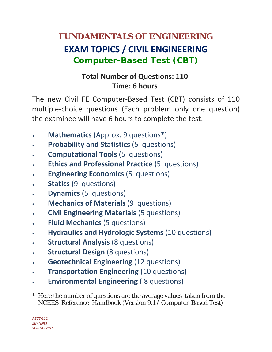# **FUNDAMENTALS OF ENGINEERING EXAM TOPICS / CIVIL ENGINEERING Computer-Based Test (CBT)**

# **Total Number of Questions: 110 Time: 6 hours**

The new Civil FE Computer‐Based Test (CBT) consists of 110 multiple‐choice questions (Each problem only one question) the examinee will have 6 hours to complete the test.

- **Mathematics** (Approx. 9 questions\*)
- **Probability and Statistics** (5 questions)
- **Computational Tools** (5 questions)
- **Ethics and Professional Practice** (5 questions)
- **Engineering Economics** (5 questions)
- **Statics** (9 questions)
- **Dynamics** (5 questions)
- **Mechanics of Materials** (9 questions)
- **Civil Engineering Materials** (5 questions)
- **Fluid Mechanics** (5 questions)
- **Hydraulics and Hydrologic Systems** (10 questions)
- **Structural Analysis** (8 questions)
- **Structural Design** (8 questions)
- **Geotechnical Engineering** (12 questions)
- **Transportation Engineering** (10 questions)
- **Environmental Engineering** ( 8 questions)
- \* Here the number of questions are the average values taken from the NCEES Reference Handbook (Version 9.1 / Computer-Based Test)

*ASCE‐111 ZEYTINCI SPRING 2015*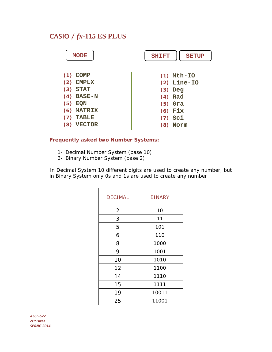# CASIO / *fx***-115 ES PLUS**

| <b>MODE</b>          | <b>SHIFT</b><br><b>SETUP</b> |
|----------------------|------------------------------|
| $(1)$ COMP           | $(1)$ Mth-IO                 |
| <b>CMPLX</b><br>(2)  | $(2)$ Line-IO                |
| <b>STAT</b><br>(3)   | $(3)$ Deg                    |
| $(4)$ BASE-N         | $(4)$ Rad                    |
| $(5)$ EQN            | $(5)$ Gra                    |
| <b>MATRIX</b><br>(6) | $(6)$ Fix                    |
| <b>TABLE</b><br>(7)  | $(7)$ Sci                    |
| <b>VECTOR</b><br>(8) | Norm<br>(8)                  |
|                      |                              |

#### **Frequently asked two Number Systems:**

1- Decimal Number System (base 10)

2- Binary Number System (base 2)

In Decimal System 10 different digits are used to create any number, but in Binary System only 0s and 1s are used to create any number

| <b>DECIMAL</b> | <b>BINARY</b> |
|----------------|---------------|
| $\overline{2}$ | 10            |
| 3              | 11            |
| 5              | 101           |
| 6              | 110           |
| 8              | 1000          |
| 9              | 1001          |
| 10             | 1010          |
| 12             | 1100          |
| 14             | 1110          |
| 15             | 1111          |
| 19             | 10011         |
| 25             | 11001         |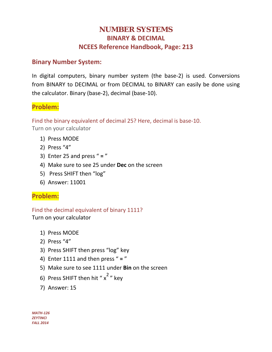# **NUMBER SYSTEMS BINARY & DECIMAL NCEES Reference Handbook, Page: 213**

## **Binary Number System:**

In digital computers, binary number system (the base‐2) is used. Conversions from BINARY to DECIMAL or from DECIMAL to BINARY can easily be done using the calculator. Binary (base‐2), decimal (base‐10).

# **Problem:**

Find the binary equivalent of decimal 25? Here, decimal is base‐10.

Turn on your calculator

- 1) Press MODE
- 2) Press "4"
- 3) Enter 25 and press " **=** "
- 4) Make sure to see 25 under **Dec** on the screen
- 5) Press SHIFT then "log"
- 6) Answer: 11001

## **Problem:**

Find the decimal equivalent of binary 1111?

Turn on your calculator

- 1) Press MODE
- 2) Press "4"
- 3) Press SHIFT then press "log" key
- 4) Enter 1111 and then press " **=** "
- 5) Make sure to see 1111 under **Bin** on the screen
- 6) Press SHIFT then hit "  $x^2$  " key
- 7) Answer: 15

*MATH‐126 ZEYTINCI FALL 2014*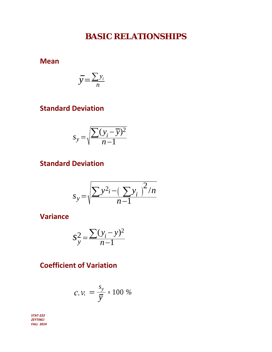# **BASIC RELATIONSHIPS**

**Mean**

$$
\overline{y} = \frac{\sum y_i}{n}
$$

# **Standard Deviation**

$$
s_y = \sqrt{\frac{\sum (y_i - \overline{y})^2}{n - 1}}
$$

# **Standard Deviation**

$$
s_{y} = \sqrt{\frac{\sum y^{2} - (\sum y_{i})^{2}/n}{n-1}}
$$

**Variance**

$$
S_y^2 = \frac{\sum (y_i - y)^2}{n - 1}
$$

# **Coefficient of Variation**

$$
c.v. = \frac{s_y}{\overline{y}} \times 100\%
$$

*STAT‐222 ZEYTINCI FALL 2014*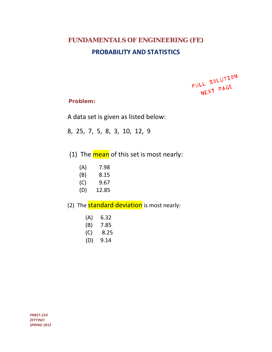# **FUNDAMENTALS OF ENGINEERING (FE) PROBABILITY AND STATISTICS**

FULL SOLUTION LL SOLD.

#### **Problem:**

A data set is given as listed below:

- 8, 25, 7, 5, 8, 3, 10, 12, 9
- (1) The mean of this set is most nearly:
	- $(A)$  7.98
	- $(B)$  8.15
	- $(C)$  9.67
	- (D) 12.85

(2) The **standard deviation** is most nearly:

- $(A) 6.32$
- $(B)$  7.85
- $(C)$  8.25
- $(D)$  9.14

*PRBST‐210 ZEYTINCI SPRING 2015*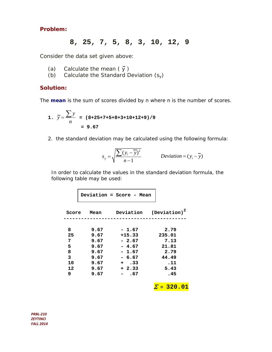#### **Problem:**

### **8, 25, 7, 5, 8, 3, 10, 12, 9**

Consider the data set given above:

- (a) Calculate the mean  $(\bar{y})$
- (b) Calculate the Standard Deviation (s*y*)

#### **Solution:**

The **mean** is the sum of scores divided by n where n is the number of scores.

1. 
$$
\overline{y} = \frac{\sum y}{n}
$$
 = (8+25+7+5+8+3+10+12+9)/9  
= 9.67

2. the standard deviation may be calculated using the following formula:

$$
s_y = \sqrt{\frac{\sum (y_i - \overline{y})^2}{n-1}}
$$
 Deviation =  $(y_i - \overline{y})$ 

 In order to calculate the values in the standard deviation formula, the following table may be used:

 **Deviation = Score - Mean** 

| Score | Mean | Deviation         | $(Deviation)^2$   |
|-------|------|-------------------|-------------------|
|       |      |                   |                   |
| 8     | 9.67 | $-1.67$           | 2.79              |
| 25    | 9.67 | $+15.33$          | 235.01            |
| 7     | 9.67 | $-2.67$           | 7.13              |
| 5     | 9.67 | $-4.67$           | 21.81             |
| 8     | 9.67 | $-1.67$           | 2.79              |
| 3     | 9.67 | $-6.67$           | 44.49             |
| 10    | 9.67 | $\cdot$ 33<br>$+$ | .11               |
| 12    | 9.67 | $+2.33$           | 5.43              |
| 9     | 9.67 | .67               | .45               |
|       |      |                   | $\Sigma = 320.01$ |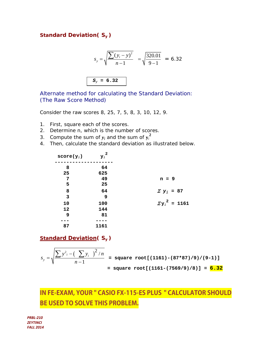#### **Standard Deviation(** *Sy* **)**

$$
s_y = \sqrt{\frac{\sum (y_i - y)^2}{n - 1}} = \sqrt{\frac{320.01}{9 - 1}} = 6.32
$$
  

$$
s_y = 6.32
$$

Alternate method for calculating the Standard Deviation: (The Raw Score Method)

Consider the raw scores 8, 25, 7, 5, 8, 3, 10, 12, 9.

- 1. First, square each of the scores.
- 2. Determine n, which is the number of scores.
- 3. Compute the sum of  $y_i$  and the sum of  $y_i^2$
- 4. Then, calculate the standard deviation as illustrated below.

| $score(y_i)$ | ${y_i}^2$ |                       |
|--------------|-----------|-----------------------|
| 8            | 64        |                       |
| 25           | 625       |                       |
| 7            | 49        | $n = 9$               |
| 5            | 25        |                       |
| 8            | 64        | $\sum y_i = 87$       |
| $\mathbf{3}$ | 9         |                       |
| 10           | 100       | $\Sigma y_i^2 = 1161$ |
| 12           | 144       |                       |
| 9            | 81        |                       |
|              |           |                       |
| 87           | 1161      |                       |

**Standard Deviation(** *Sy* **)** 

$$
s_{y} = \sqrt{\frac{\sum y^{2}_{i} - (\sum y_{i})^{2}/n}{n-1}} = \text{square root}[(1161) - (87*87)/9)/(9-1)]
$$
  
= square root[(1161 - (7569/9)/8)] = 6.32

# **IN FE-EXAM, YOUR " CASIO FX-115-ES PLUS " CALCULATOR SHOULD BE USED TO SOLVE THIS PROBLEM.**

*PRBL‐210 ZEYTINCI FALL 2014*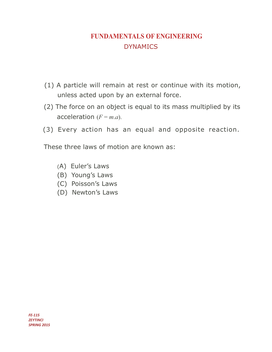# **FUNDAMENTALS OF ENGINEERING DYNAMICS**

- (1) A particle will remain at rest or continue with its motion, unless acted upon by an external force.
- (2) The force on an object is equal to its mass multiplied by its acceleration  $(F = m.a)$ .
- (3) Every action has an equal and opposite reaction.

These three laws of motion are known as:

- (A) Euler's Laws
- (B) Young's Laws
- (C) Poisson's Laws
- (D) Newton's Laws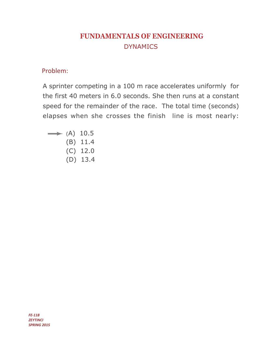# **FUNDAMENTALS OF ENGINEERING DYNAMICS**

## Problem:

A sprinter competing in a 100 m race accelerates uniformly for the first 40 meters in 6.0 seconds. She then runs at a constant speed for the remainder of the race. The total time (seconds) elapses when she crosses the finish line is most nearly:

- $\rightarrow$  (A) 10.5  $(B)$  11.4  $(C)$  12.0
	- $(D)$  13.4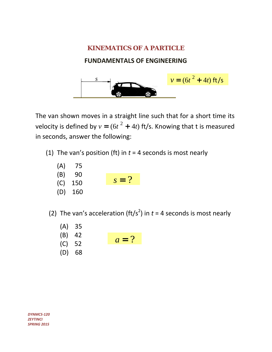# **KINEMATICS OF A PARTICLE**

## **FUNDAMENTALS OF ENGINEERING**



The van shown moves in a straight line such that for a short time its velocity is defined by  $v = (6t^2 + 4t)$  ft/s. Knowing that t is measured in seconds, answer the following:

- (1) The van's position (ft) in *t* = 4 seconds is most nearly
	- $(A)$  75
	- $(B) 90$
	- (C) 150  $s = ?$
	- (D) 160

(2) The van's acceleration (ft/s<sup>2</sup>) in  $t = 4$  seconds is most nearly

- (A) 35
- $(B)$  42
- $(C) 52$  $a = ?$
- (D) 68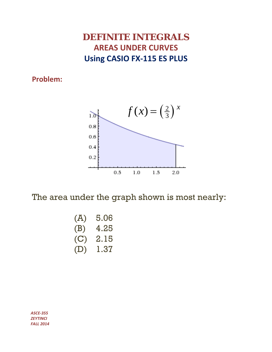# **DEFINITE INTEGRALS AREAS UNDER CURVES Using CASIO FX‐115 ES PLUS**

**Problem:**



The area under the graph shown is most nearly:

| (A) | 5.06 |
|-----|------|
| (B) | 4.25 |
| (C) | 2.15 |
| (D) | 1.37 |

*ASCE‐355 ZEYTINCI FALL 2014*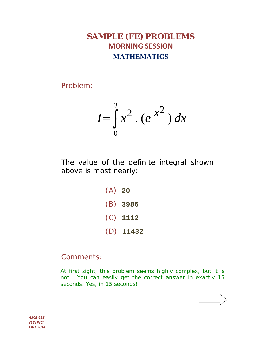# **SAMPLE (FE) PROBLEMS MORNING SESSION MATHEMATICS**

Problem:

$$
I = \int_0^3 x^2 \cdot (e^{-x^2}) dx
$$

The value of the definite integral shown above is most nearly:

> (A) **20** (B) **3986** (C) **1112** (D) **11432**

# Comments:

At first sight, this problem seems highly complex, but it is not. You can easily get the correct answer in exactly 15 seconds. Yes, in 15 seconds!



*ASCE‐418 ZEYTINCI FALL 2014*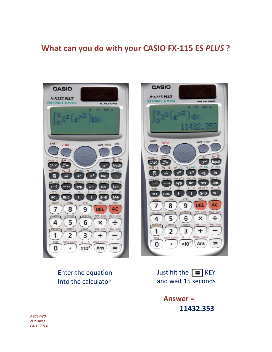# What can you do with your CASIO FX-115 ES PLUS ?





Enter the equation Into the calculator

Just hit the  $\boxed{\equiv}$  KEY and wait 15 seconds

> **Answer =** 11432.353

**ASCE-420 ZEYTINCI FALL 2014**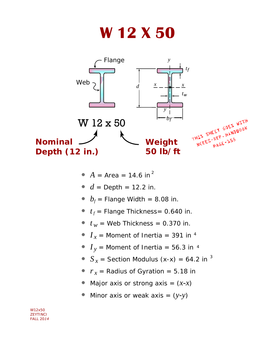# **W 12 X 50**



- $A = Area = 14.6$  in<sup>2</sup>
- $d =$  Depth = 12.2 in.
- $b_f$  = Flange Width = 8.08 in.
- $t_f$  = Flange Thickness = 0.640 in.
- $t_w$  = Web Thickness = 0.370 in.
- $I_x$  = Moment of Inertia = 391 in <sup>4</sup>
- $\overline{I}_y$  = Moment of Inertia = 56.3 in  $^4$
- $S_x$  = Section Modulus (x-x) = 64.2 in  $^3$
- $r_x$  = Radius of Gyration = 5.18 in
- Major axis or strong axis  $=(x-x)^2$
- Minor axis or weak axis = (*y-y*)

*W12x50 ZEYTINCI FALL 2014*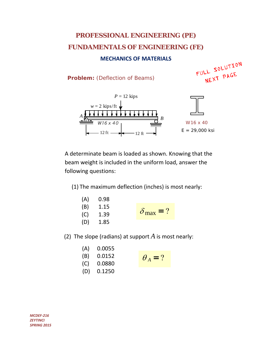# **PROFESSIONAL ENGINEERING (PE) FUNDAMENTALS OF ENGINEERING (FE)**

#### **MECHANICS OF MATERIALS**

**Problem:** (Deflection of Beams)

FULL SOLUTION LL SOLD.<br>NEXT PAGE



A determinate beam is loaded as shown. Knowing that the beam weight is included in the uniform load, answer the following questions:

(1) The maximum deflection (inches) is most nearly:

| (A) | 0.98 |                           |
|-----|------|---------------------------|
| (B) | 1.15 |                           |
| (C) | 1.39 | $\delta_{\text{max}} = ?$ |
| (D) | 1.85 |                           |

(2) The slope (radians) at support *A* is most nearly:

| (A) | 0.0055 |  |
|-----|--------|--|
| (B) | 0.0152 |  |
| (C) | 0.0880 |  |
| (D) | 0.1250 |  |

$$
\theta_A = ?
$$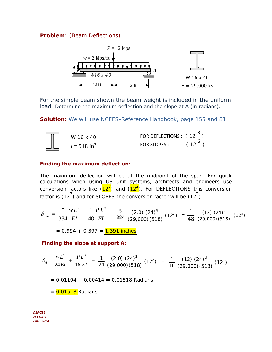#### **Problem**: (Beam Deflections)



For the simple beam shown the beam weight is included in the uniform load. Determine the maximum deflection and the slope at A (in radians).

**Solution:** We will use NCEES-Reference Handbook, page 155 and 81.



#### **Finding the maximum deflection:**

The maximum deflection will be at the midpoint of the span. For quick calculations when using US unit systems, architects and engineers use conversion factors like (12<sup>3</sup>) and (12<sup>2</sup>). For DEFLECTIONS this conversion factor is (12<sup>3</sup>) and for SLOPES the conversion factor will be (12<sup>2</sup>).

$$
\delta_{\max} = \frac{5}{384} \frac{wL^4}{EI} + \frac{1}{48} \frac{PL^3}{EI} = \frac{5}{384} \frac{(2.0) (24)^4}{(29,000)(518)} (12^3) + \frac{1}{48} \frac{(12) (24)^3}{(29,000)(518)} (12^3)
$$

 $= 0.994 + 0.397 = 1.391$  inches

**Finding the slope at support A:**

$$
\theta_{A} = \frac{wL^{3}}{24EI} + \frac{PL^{2}}{16EI} = \frac{1}{24} \frac{(2.0) (24)^{3}}{(29,000) (518)} (12^{2}) + \frac{1}{16} \frac{(12) (24)^{2}}{(29,000) (518)} (12^{2})
$$

 $= 0.01104 + 0.00414 = 0.01518$  Radians

 $= 0.01518$  Radians

 *ZEYTINCI DEF‐216 FALL 2014*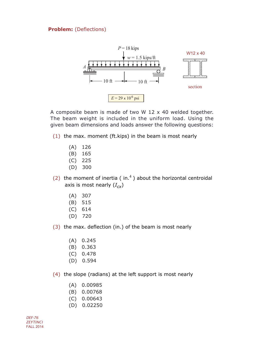#### **Problem:** (Deflections)



A composite beam is made of two W 12 x 40 welded together. The beam weight is included in the uniform load. Using the given beam dimensions and loads answer the following questions:

 $(1)$  the max. moment (ft.kips) in the beam is most nearly

- $(A)$  126
- $(B)$  165
- $(C)$  225
- $(D) 300$
- (2) the moment of inertia ( $in.<sup>4</sup>$ ) about the horizontal centroidal axis is most nearly  $(I_{cx})$ 
	- $(A) 307$
	- $(B) 515$
	- $(C) 614$
	- $(D)$  720
- (3) the max. deflection (in.) of the beam is most nearly
	- $(A)$  0.245
	- $(B)$  0.363
	- $(C)$  0.478
	- $(D)$  0.594
- (4) the slope (radians) at the left support is most nearly
	- $(A)$  0.00985
	- $(B) 0.00768$
	- $(C)$  0.00643
	- $(D) 0.02250$

**DEF-76 ZEYTINCI FALL 2014**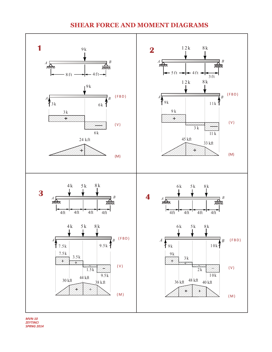#### **SHEAR FORCE AND MOMENT DIAGRAMS**



 $MVN-10$ **ZEYTINCI SPRNG 2014**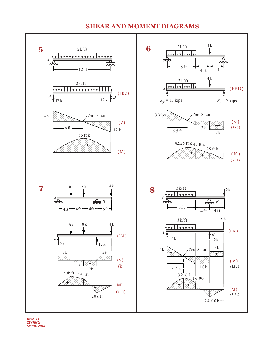#### **SHEAR AND MOMENT DIAGRAMS**



 $MVN-15$ **ZEYTINCI SPRNG 2014**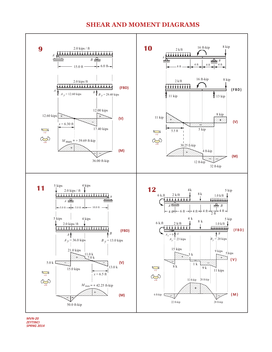#### **SHEAR AND MOMENT DIAGRAMS**



 $MVN-20$ **ZEYTINCI SPRNG 2014**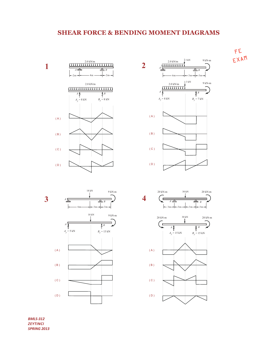## **SHEAR FORCE & BENDING MOMENT DIAGRAMS**













**BMLS-312 ZEYTINCI SPRING 2013**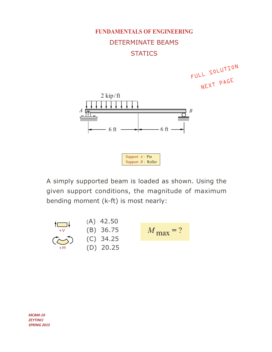

A simply supported beam is loaded as shown. Using the given support conditions, the magnitude of maximum bending moment (k-ft) is most nearly:



 $MCBM-10$ **ZEYTINCI SPRING 2015**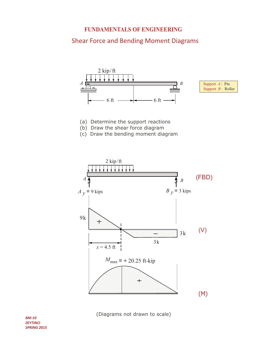#### **FUNDAMENTALS OF ENGINEERING**

# **Shear Force and Bending Moment Diagrams**





- (a) Determine the support reactions
- (b) Draw the shear force diagram
- (c) Draw the bending moment diagram



(Diagrams not drawn to scale)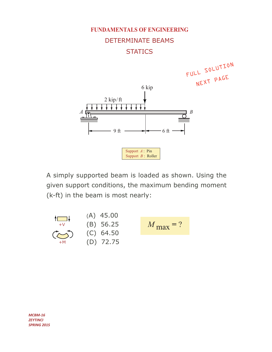

A simply supported beam is loaded as shown. Using the given support conditions, the maximum bending moment (k-ft) in the beam is most nearly:



 $MCBM-16$ **ZEYTINCI SPRING 2015**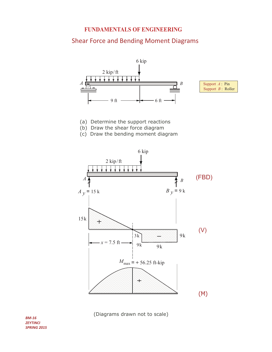#### **FUNDAMENTALS OF ENGINEERING**

## **Shear Force and Bending Moment Diagrams**





- (a) Determine the support reactions
- (b) Draw the shear force diagram
- (c) Draw the bending moment diagram



(Diagrams drawn not to scale)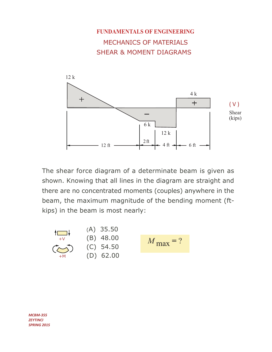

The shear force diagram of a determinate beam is given as shown. Knowing that all lines in the diagram are straight and there are no concentrated moments (couples) anywhere in the beam, the maximum magnitude of the bending moment (ftkips) in the beam is most nearly:



**MCBM-355 ZEYTINCI SPRING 2015**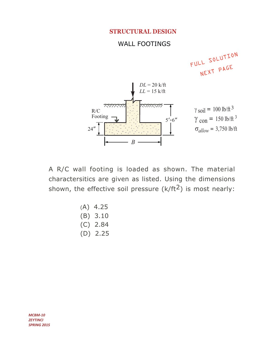#### **STRUCTURAL DESIGN**

#### **WALL FOOTINGS**



A R/C wall footing is loaded as shown. The material charactersitics are given as listed. Using the dimensions shown, the effective soil pressure  $(k/ft<sup>2</sup>)$  is most nearly:

**MCBM-10 ZEYTINCI SPRING 2015**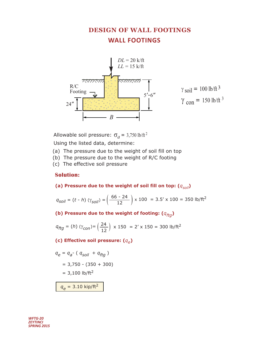# **DESIGN OF WALL FOOTINGS WALL FOOTINGS**



 $\gamma$  soil = 100 lb/ft 3  $\gamma_{con}$  = 150 lb/ft<sup>3</sup>

Allowable soil pressure:  $\sigma_a = 3,750$  lb/ft<sup>2</sup>

Using the listed data, determine:

- (a) The pressure due to the weight of soil fill on top
- (b) The pressure due to the weight of R/C footing
- (c) The effective soil pressure

#### **Solution:**

(a) Pressure due to the weight of soil fill on top:  $(q_{\text{sol}})$ 

 $q_{soil} = (t - h) (\gamma_{soil}) = \left(\frac{66 - 24}{12}\right) \times 100 = 3.5' \times 100 = 350 \text{ lb/ft}^2$ 

(b) Pressure due to the weight of footing:  $(q_{ftq})$ 

 $q_{ftg} = (h) (\gamma_{con}) = \left(\frac{24}{12}\right) \times 150 = 2' \times 150 = 300 \text{ lb/ft}^2$ 

(c) Effective soil pressure:  $(q_e)$ 

$$
q_e = q_a \cdot (q_{soil} + q_{ftg})
$$
  
= 3,750 - (350 + 300)  
= 3,100 lb/ft<sup>2</sup>

 $q_e$  = 3.10 kip/ft<sup>2</sup>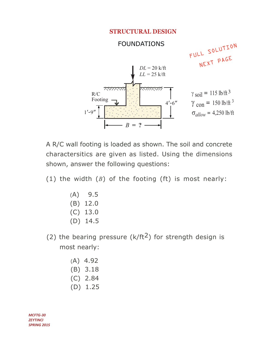#### **STRUCTURAL DESIGN**



A R/C wall footing is loaded as shown. The soil and concrete charactersitics are given as listed. Using the dimensions shown, answer the following questions:

(1) the width  $(B)$  of the footing (ft) is most nearly:

- $(A)$  9.5  $(B) 12.0$  $(C)$  13.0  $(D)$  14.5
- (2) the bearing pressure ( $k/ft^2$ ) for strength design is most nearly:
	- $(A)$  4.92  $(B)$  3.18  $(C)$  2.84  $(D)$  1.25